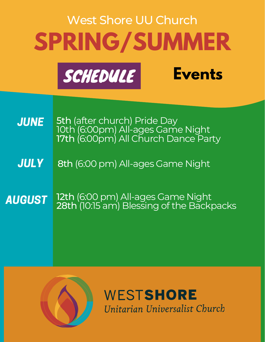# **SPRING/SUMMER** West Shore UU Church

**Events**



5th (after church) Pride Day 10th (6:00pm) All-ages Game Night 17th (6:00pm) All Church Dance Party **JUNE** 

8th (6:00 pm) All-ages Game Night **JULY** 

AUGUST 12th (6:00 pm) All-ages Game Night 28th (10:15 am) Blessing of the Backpacks



WESTSHORE Unitarian Universalist Church